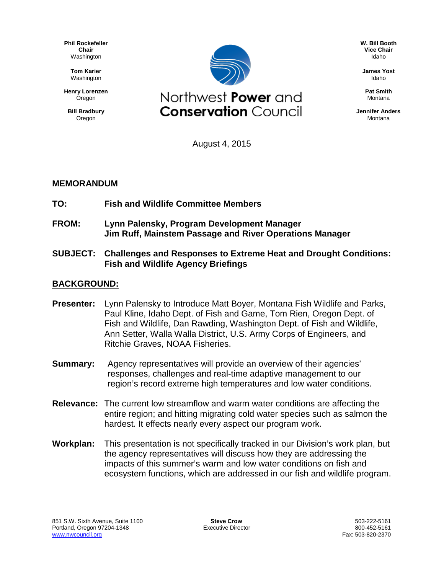**Phil Rockefeller Chair** Washington

> **Tom Karier** Washington

**Henry Lorenzen Oregon** 

**Bill Bradbury** Oregon



**W. Bill Booth Vice Chair** Idaho

**James Yost** Idaho

**Pat Smith** Montana

**Jennifer Anders** Montana

August 4, 2015

## **MEMORANDUM**

- **TO: Fish and Wildlife Committee Members**
- **FROM: Lynn Palensky, Program Development Manager Jim Ruff, Mainstem Passage and River Operations Manager**
- **SUBJECT: Challenges and Responses to Extreme Heat and Drought Conditions: Fish and Wildlife Agency Briefings**

## **BACKGROUND:**

- **Presenter:** Lynn Palensky to Introduce Matt Boyer, Montana Fish Wildlife and Parks, Paul Kline, Idaho Dept. of Fish and Game, Tom Rien, Oregon Dept. of Fish and Wildlife, Dan Rawding, Washington Dept. of Fish and Wildlife, Ann Setter, Walla Walla District, U.S. Army Corps of Engineers, and Ritchie Graves, NOAA Fisheries.
- **Summary:** Agency representatives will provide an overview of their agencies' responses, challenges and real-time adaptive management to our region's record extreme high temperatures and low water conditions.
- **Relevance:** The current low streamflow and warm water conditions are affecting the entire region; and hitting migrating cold water species such as salmon the hardest. It effects nearly every aspect our program work.
- **Workplan:** This presentation is not specifically tracked in our Division's work plan, but the agency representatives will discuss how they are addressing the impacts of this summer's warm and low water conditions on fish and ecosystem functions, which are addressed in our fish and wildlife program.